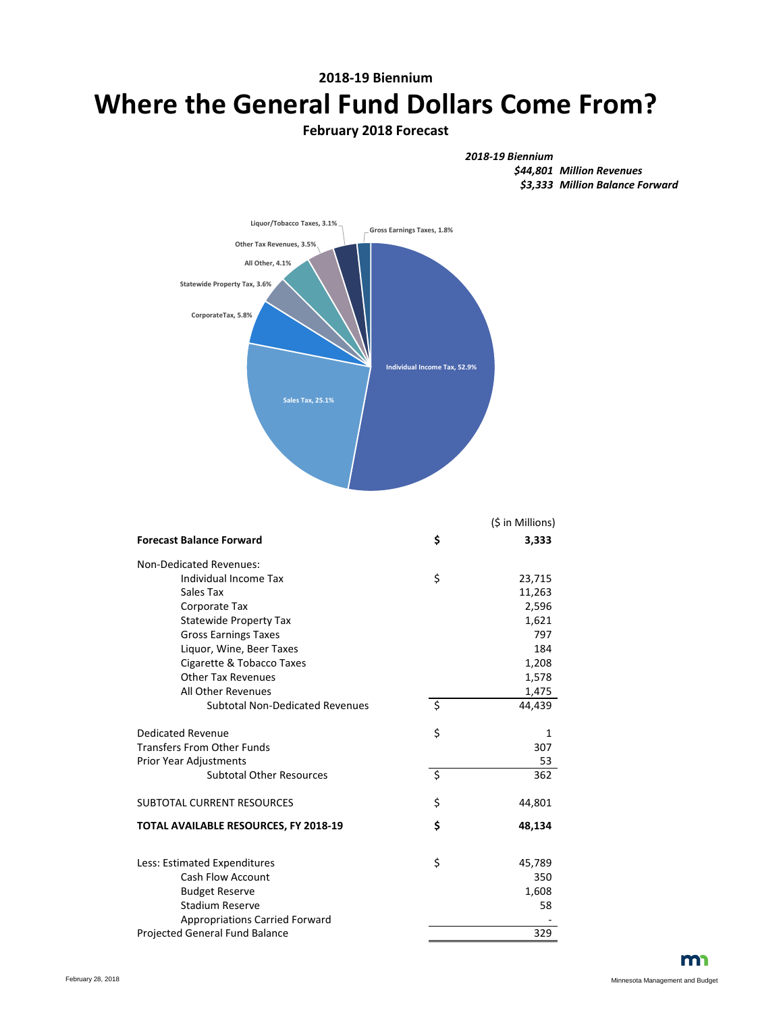# **2018-19 Biennium Where the General Fund Dollars Come From?**

## **February 2018 Forecast**





|                                        |                          | (\$ in Millions) |
|----------------------------------------|--------------------------|------------------|
| <b>Forecast Balance Forward</b>        | \$                       | 3,333            |
| Non-Dedicated Revenues:                |                          |                  |
| Individual Income Tax                  | \$                       | 23,715           |
| Sales Tax                              |                          | 11,263           |
| Corporate Tax                          |                          | 2,596            |
| <b>Statewide Property Tax</b>          |                          | 1,621            |
| <b>Gross Earnings Taxes</b>            |                          | 797              |
| Liquor, Wine, Beer Taxes               |                          | 184              |
| Cigarette & Tobacco Taxes              |                          | 1,208            |
| <b>Other Tax Revenues</b>              |                          | 1,578            |
| All Other Revenues                     |                          | 1,475            |
| <b>Subtotal Non-Dedicated Revenues</b> | $\overline{\mathcal{S}}$ | 44,439           |
| Dedicated Revenue                      | \$                       | 1                |
| <b>Transfers From Other Funds</b>      |                          | 307              |
| <b>Prior Year Adjustments</b>          |                          | 53               |
| <b>Subtotal Other Resources</b>        | $\zeta$                  | 362              |
| <b>SUBTOTAL CURRENT RESOURCES</b>      | \$                       | 44,801           |
| TOTAL AVAILABLE RESOURCES, FY 2018-19  | \$                       | 48,134           |
| Less: Estimated Expenditures           | \$                       | 45,789           |
| <b>Cash Flow Account</b>               |                          | 350              |
| <b>Budget Reserve</b>                  |                          | 1,608            |
| <b>Stadium Reserve</b>                 |                          | 58               |
| <b>Appropriations Carried Forward</b>  |                          |                  |
| Projected General Fund Balance         |                          | 329              |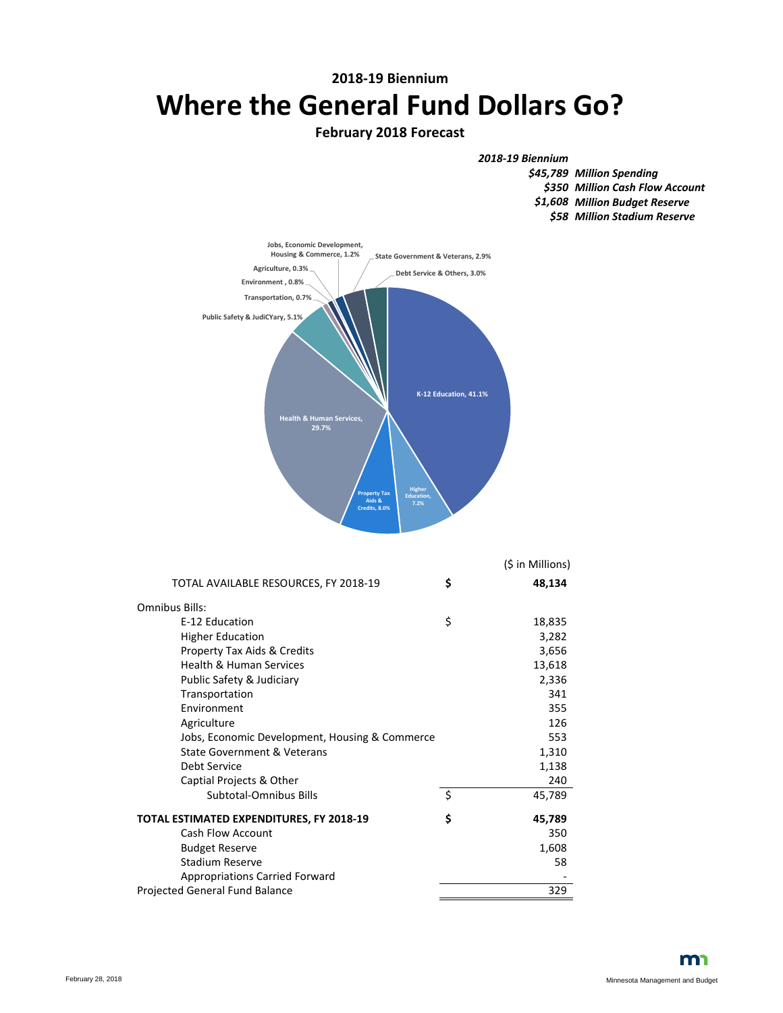## **2018-19 Biennium Where the General Fund Dollars Go?**

### **February 2018 Forecast**

*2018-19 Biennium*

*Million Spending \$45,789 Million Cash Flow Account \$350 Million Budget Reserve \$1,608 Million Stadium Reserve \$58*



|                                                 |    | (\$ in Millions) |
|-------------------------------------------------|----|------------------|
| TOTAL AVAILABLE RESOURCES, FY 2018-19           | \$ | 48,134           |
| Omnibus Bills:                                  |    |                  |
| E-12 Education                                  | \$ | 18,835           |
| <b>Higher Education</b>                         |    | 3,282            |
| Property Tax Aids & Credits                     |    | 3,656            |
| <b>Health &amp; Human Services</b>              |    | 13,618           |
| Public Safety & Judiciary                       |    | 2,336            |
| Transportation                                  |    | 341              |
| Environment                                     |    | 355              |
| Agriculture                                     |    | 126              |
| Jobs, Economic Development, Housing & Commerce  |    | 553              |
| <b>State Government &amp; Veterans</b>          |    | 1,310            |
| Debt Service                                    |    | 1,138            |
| Captial Projects & Other                        |    | 240              |
| Subtotal-Omnibus Bills                          | \$ | 45,789           |
| <b>TOTAL ESTIMATED EXPENDITURES, FY 2018-19</b> | Ś  | 45,789           |
| <b>Cash Flow Account</b>                        |    | 350              |
| <b>Budget Reserve</b>                           |    | 1,608            |
| Stadium Reserve                                 |    | 58               |
| <b>Appropriations Carried Forward</b>           |    |                  |
| Projected General Fund Balance                  |    | 329              |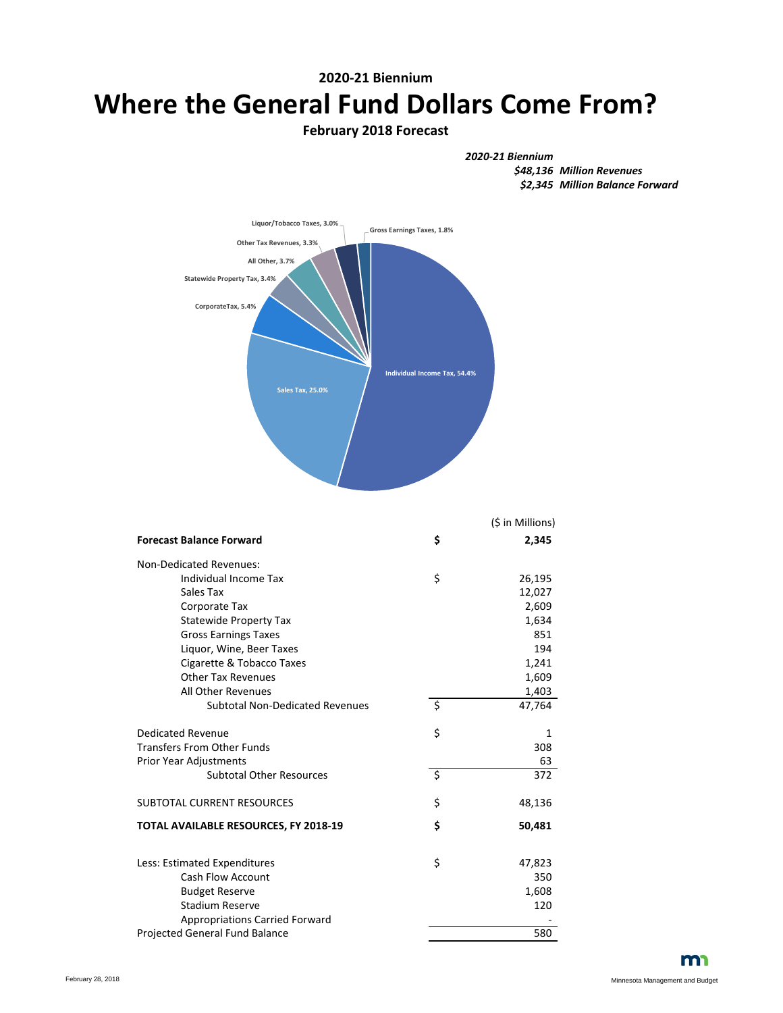# **2020-21 Biennium Where the General Fund Dollars Come From?**

#### **February 2018 Forecast**





|                                        |                          | (\$ in Millions) |
|----------------------------------------|--------------------------|------------------|
| <b>Forecast Balance Forward</b>        | \$                       | 2,345            |
| Non-Dedicated Revenues:                |                          |                  |
| Individual Income Tax                  | \$                       | 26,195           |
| Sales Tax                              |                          | 12,027           |
| Corporate Tax                          |                          | 2,609            |
| <b>Statewide Property Tax</b>          |                          | 1,634            |
| <b>Gross Earnings Taxes</b>            |                          | 851              |
| Liquor, Wine, Beer Taxes               |                          | 194              |
| Cigarette & Tobacco Taxes              |                          | 1,241            |
| <b>Other Tax Revenues</b>              |                          | 1,609            |
| All Other Revenues                     |                          | 1,403            |
| <b>Subtotal Non-Dedicated Revenues</b> | $\overline{\mathcal{S}}$ | 47,764           |
| Dedicated Revenue                      | \$                       | 1                |
| <b>Transfers From Other Funds</b>      |                          | 308              |
| <b>Prior Year Adjustments</b>          |                          | 63               |
| <b>Subtotal Other Resources</b>        | $\zeta$                  | 372              |
| <b>SUBTOTAL CURRENT RESOURCES</b>      | \$                       | 48,136           |
| TOTAL AVAILABLE RESOURCES, FY 2018-19  | \$                       | 50,481           |
| Less: Estimated Expenditures           | \$                       | 47,823           |
| <b>Cash Flow Account</b>               |                          | 350              |
| <b>Budget Reserve</b>                  |                          | 1,608            |
| <b>Stadium Reserve</b>                 |                          | 120              |
| <b>Appropriations Carried Forward</b>  |                          |                  |
| Projected General Fund Balance         |                          | 580              |